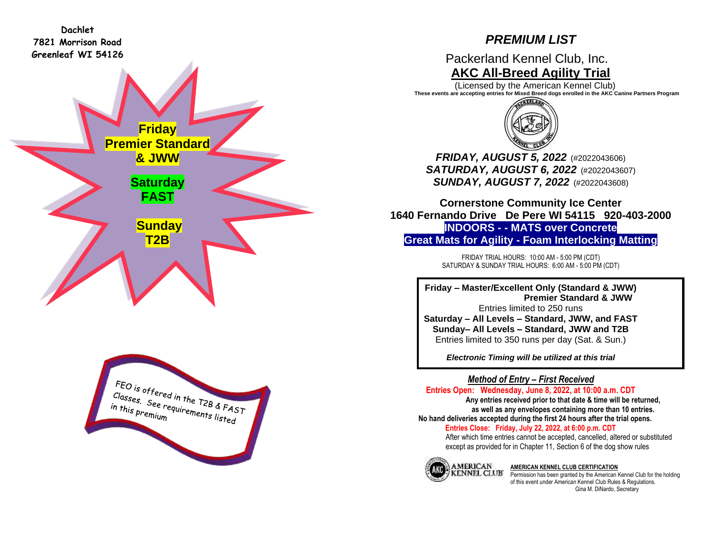**Dachlet 7821 Morrison Road Greenleaf WI 54126**

# *PREMIUM LIST*

Packerland Kennel Club, Inc. **AKC All-Breed Agility Trial**

 (Licensed by the American Kennel Club) **These events are accepting entries for Mixed Breed dogs enrolled in the AKC Canine Partners Program**



*FRIDAY, AUGUST 5, 2022* (#2022043606) *SATURDAY, AUGUST 6, 2022* (#2022043607) *SUNDAY, AUGUST 7, 2022* (#2022043608)

**Cornerstone Community Ice Center 1640 Fernando Drive De Pere WI 54115 920-403-2000 INDOORS - - MATS over Concrete Great Mats for Agility - Foam Interlocking Matting**

> FRIDAY TRIAL HOURS: 10:00 AM - 5:00 PM (CDT) SATURDAY & SUNDAY TRIAL HOURS: 6:00 AM - 5:00 PM (CDT)

**Friday – Master/Excellent Only (Standard & JWW) Premier Standard & JWW** Entries limited to 250 runs **Saturday – All Levels – Standard, JWW, and FAST Sunday– All Levels – Standard, JWW and T2B** Entries limited to 350 runs per day (Sat. & Sun.)

*Electronic Timing will be utilized at this trial*

*Method of Entry – First Received*

**Entries Open: Wednesday, June 8, 2022, at 10:00 a.m. CDT Any entries received prior to that date & time will be returned, as well as any envelopes containing more than 10 entries. No hand deliveries accepted during the first 24 hours after the trial opens. Entries Close: Friday, July 22, 2022, at 6:00 p.m. CDT**

After which time entries cannot be accepted, cancelled, altered or substituted except as provided for in Chapter 11, Section 6 of the dog show rules



#### **AMERICAN KENNEL CLUB CERTIFICATION**

Permission has been granted by the American Kennel Club for the holding of this event under American Kennel Club Rules & Regulations. Gina M. DiNardo, Secretary

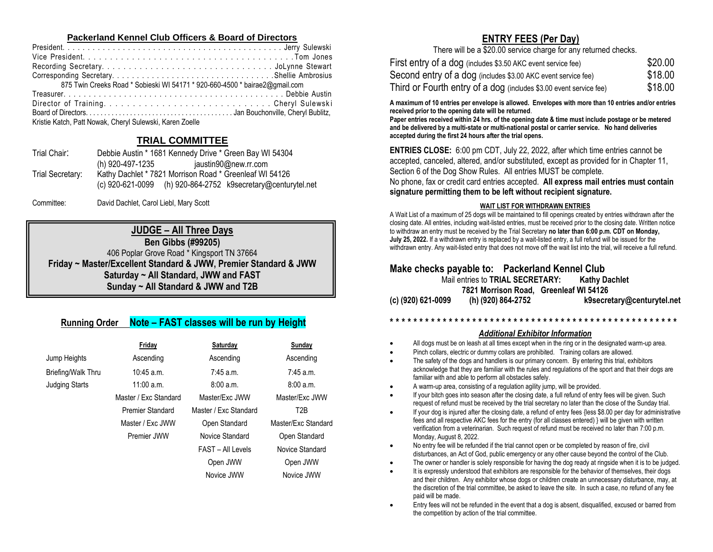#### **Packerland Kennel Club Officers & Board of Directors**

| 875 Twin Creeks Road * Sobieski WI 54171 * 920-660-4500 * bairae2@gmail.com |
|-----------------------------------------------------------------------------|
|                                                                             |
|                                                                             |
|                                                                             |
| Kristie Katch, Patt Nowak, Cheryl Sulewski, Karen Zoelle                    |

# **TRIAL COMMITTEE**

| Debbie Austin * 1681 Kennedy Drive * Green Bay WI 54304      |
|--------------------------------------------------------------|
| (h) 920-497-1235<br>jaustin90@new.rr.com                     |
| Kathy Dachlet * 7821 Morrison Road * Greenleaf WI 54126      |
| (c) 920-621-0099 (h) 920-864-2752 k9secretary@centurytel.net |
|                                                              |

Committee: David Dachlet, Carol Liebl, Mary Scott

**JUDGE – All Three Days Ben Gibbs (#99205)** 406 Poplar Grove Road \* Kingsport TN 37664 **Friday ~ Master/Excellent Standard & JWW, Premier Standard & JWW Saturday ~ All Standard, JWW and FAST Sunday ~ All Standard & JWW and T2B**

# **Running Order Note – FAST classes will be run by Height**

|                       | Friday                  | Saturday              | Sunday              |
|-----------------------|-------------------------|-----------------------|---------------------|
| Jump Heights          | Ascending               | Ascending             | Ascending           |
| Briefing/Walk Thru    | $10:45$ a.m.            | $7:45$ a.m.           | $7:45$ a.m.         |
| <b>Judging Starts</b> | $11:00$ a.m.            | 8:00a.m.              | 8:00a.m.            |
|                       | Master / Fxc Standard   | Master/Fxc JWW        | Master/Fxc JWW      |
|                       | <b>Premier Standard</b> | Master / Exc Standard | T2B                 |
|                       | Master / Exc JWW        | Open Standard         | Master/Exc Standard |
|                       | Premier JWW             | Novice Standard       | Open Standard       |
|                       |                         | FAST - All Levels     | Novice Standard     |
|                       |                         | Open JWW              | Open JWW            |
|                       |                         | Novice JWW            | Novice JWW          |

# **ENTRY FEES (Per Day)**

There will be a \$20.00 service charge for any returned checks.

| First entry of a dog (includes \$3.50 AKC event service fee)       | \$20.00 |
|--------------------------------------------------------------------|---------|
| Second entry of a dog (includes \$3.00 AKC event service fee)      | \$18.00 |
| Third or Fourth entry of a dog (includes \$3.00 event service fee) | \$18.00 |

**A maximum of 10 entries per envelope is allowed. Envelopes with more than 10 entries and/or entries received prior to the opening date will be returned**.

**Paper entries received within 24 hrs. of the opening date & time must include postage or be metered and be delivered by a multi-state or multi-national postal or carrier service. No hand deliveries accepted during the first 24 hours after the trial opens.**

**ENTRIES CLOSE:** 6:00 pm CDT, July 22, 2022, after which time entries cannot be accepted, canceled, altered, and/or substituted, except as provided for in Chapter 11, Section 6 of the Dog Show Rules. All entries MUST be complete.

No phone, fax or credit card entries accepted. **All express mail entries must contain signature permitting them to be left without recipient signature.**

## **WAIT LIST FOR WITHDRAWN ENTRIES**

A Wait List of a maximum of 25 dogs will be maintained to fill openings created by entries withdrawn after the closing date. All entries, including wait-listed entries, must be received prior to the closing date. Written notice to withdraw an entry must be received by the Trial Secretary **no later than 6:00 p.m. CDT on Monday, July 25, 2022.** If a withdrawn entry is replaced by a wait-listed entry, a full refund will be issued for the withdrawn entry. Any wait-listed entry that does not move off the wait list into the trial, will receive a full refund.

# **Make checks payable to: Packerland Kennel Club** Mail entries to **TRIAL SECRETARY: Kathy Dachlet 7821 Morrison Road, Greenleaf WI 54126 (c) (920) 621-0099 (h) (920) 864-2752 [k9secretary@centurytel.net](mailto:k9secretary@centurytel.net)**

# **\* \* \* \* \* \* \* \* \* \* \* \* \* \* \* \* \* \* \* \* \* \* \* \* \* \* \* \* \* \* \* \* \* \* \* \* \* \* \* \* \* \* \* \* \* \* \* \* \***

### *Additional Exhibitor Information*

- All dogs must be on leash at all times except when in the ring or in the designated warm-up area.
- Pinch collars, electric or dummy collars are prohibited. Training collars are allowed.
- The safety of the dogs and handlers is our primary concern. By entering this trial, exhibitors acknowledge that they are familiar with the rules and regulations of the sport and that their dogs are familiar with and able to perform all obstacles safely.
- A warm-up area, consisting of a regulation agility jump, will be provided.
- If your bitch goes into season after the closing date, a full refund of entry fees will be given. Such request of refund must be received by the trial secretary no later than the close of the Sunday trial.
- If your dog is injured after the closing date, a refund of entry fees {less \$8.00 per day for administrative fees and all respective AKC fees for the entry (for all classes entered) } will be given with written verification from a veterinarian. Such request of refund must be received no later than 7:00 p.m. Monday, August 8, 2022.
- No entry fee will be refunded if the trial cannot open or be completed by reason of fire, civil disturbances, an Act of God, public emergency or any other cause beyond the control of the Club.
- The owner or handler is solely responsible for having the dog ready at ringside when it is to be judged.
- It is expressly understood that exhibitors are responsible for the behavior of themselves, their dogs and their children. Any exhibitor whose dogs or children create an unnecessary disturbance, may, at the discretion of the trial committee, be asked to leave the site. In such a case, no refund of any fee paid will be made.
- Entry fees will not be refunded in the event that a dog is absent, disqualified, excused or barred from the competition by action of the trial committee.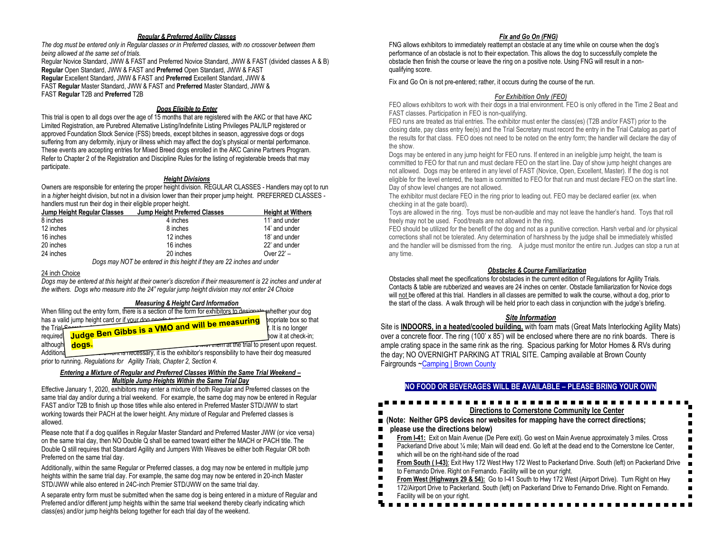#### *Regular & Preferred Agility Classes*

*The dog must be entered only in Regular classes or in Preferred classes, with no crossover between them being allowed at the same set of trials.* Regular Novice Standard, JWW & FAST and Preferred Novice Standard, JWW & FAST (divided classes A & B)

**Regular** Open Standard, JWW & FAST and **Preferred** Open Standard, JWW & FAST **Regular** Excellent Standard, JWW & FAST and **Preferred** Excellent Standard, JWW & FAST **Regular** Master Standard, JWW & FAST and **Preferred** Master Standard, JWW &

FAST **Regular** T2B and **Preferred** T2B

#### *Dogs Eligible to Enter*

This trial is open to all dogs over the age of 15 months that are registered with the AKC or that have AKC Limited Registration, are Purebred Alternative Listing/Indefinite Listing Privileges PAL/ILP registered or approved Foundation Stock Service (FSS) breeds, except bitches in season, aggressive dogs or dogs suffering from any deformity, injury or illness which may affect the dog's physical or mental performance. These events are accepting entries for Mixed Breed dogs enrolled in the AKC Canine Partners Program. Refer to Chapter 2 of the Registration and Discipline Rules for the listing of registerable breeds that may participate.

#### *Height Divisions*

Owners are responsible for entering the proper height division. REGULAR CLASSES - Handlers may opt to run in a *highe*r height division, but not in a division lower than their proper jump height. PREFERRED CLASSES handlers must run their dog in their eligible proper height.

| Jump Height Regular Classes | Jump Height Preferred Classes | <b>Height at Withers</b> |
|-----------------------------|-------------------------------|--------------------------|
| 8 inches                    | 4 inches                      | 11' and under            |
| 12 inches                   | 8 inches                      | 14' and under            |
| 16 inches                   | 12 inches                     | 18' and under            |
| 20 inches                   | 16 inches                     | 22' and under            |
| 24 inches                   | 20 inches                     | Over $22 -$              |

 *Dogs may NOT be entered in this height if they are 22 inches and under*

#### 24 inch Choice

*Dogs may be entered at this height at their owner's discretion if their measurement is 22 inches and under at the withers. Dogs who measure into the 24" regular jump height division may not enter 24 Choice*

#### *Measuring & Height Card Information*

|                            |       | when filling out the entry form, there is a section of the form for exhibitors to designed whether your dog |                               |
|----------------------------|-------|-------------------------------------------------------------------------------------------------------------|-------------------------------|
|                            |       | has a valid jump height card or if your don needs to the                                                    | bropriate box so that         |
| the Trial <sup>Commu</sup> |       | <sup>4</sup> Judge Ben Gibbs is a VMO and will be measuring                                                 | $\mathbf t$ . It is no longer |
| required                   |       |                                                                                                             | how it at check-in:           |
| although                   | dogs. | <b>The Term at the trial to present upon request.</b>                                                       |                               |
| Additiona                  |       | on one of their dog measured is the exhibitor's responsibility to have their dog measured                   |                               |
|                            |       | prior to running. Regulations for Agility Trials, Chapter 2, Section 4.                                     |                               |

#### *Entering a Mixture of Regular and Preferred Classes Within the Same Trial Weekend – Multiple Jump Heights Within the Same Trial Day*

Effective January 1, 2020, exhibitors may enter a mixture of both Regular and Preferred classes on the same trial day and/or during a trial weekend. For example, the same dog may now be entered in Regular FAST and/or T2B to finish up those titles while also entered in Preferred Master STD/JWW to start working towards their PACH at the lower height. Any mixture of Regular and Preferred classes is allowed.

Please note that if a dog qualifies in Regular Master Standard and Preferred Master JWW (or vice versa) on the same trial day, then NO Double Q shall be earned toward either the MACH or PACH title. The Double Q still requires that Standard Agility and Jumpers With Weaves be either both Regular OR both Preferred on the same trial day.

Additionally, within the same Regular or Preferred classes, a dog may now be entered in multiple jump heights within the same trial day. For example, the same dog may now be entered in 20-inch Master STD/JWW while also entered in 24C-inch Premier STD/JWW on the same trial day.

A separate entry form must be submitted when the same dog is being entered in a mixture of Regular and Preferred and/or different jump heights within the same trial weekend thereby clearly indicating which class(es) and/or jump heights belong together for each trial day of the weekend.

#### *Fix and Go On (FNG)*

FNG allows exhibitors to immediately reattempt an obstacle at any time while on course when the dog's performance of an obstacle is not to their expectation. This allows the dog to successfully complete the obstacle then finish the course or leave the ring on a positive note. Using FNG will result in a nonqualifying score.

Fix and Go On is not pre-entered; rather, it occurs during the course of the run.

#### *For Exhibition Only (FEO)*

FEO allows exhibitors to work with their dogs in a trial environment. FEO is only offered in the Time 2 Beat and FAST classes. Participation in FEO is non-qualifying.

FEO runs are treated as trial entries. The exhibitor must enter the class(es) (T2B and/or FAST) prior to the closing date, pay class entry fee(s) and the Trial Secretary must record the entry in the Trial Catalog as part of the results for that class. FEO does not need to be noted on the entry form; the handler will declare the day of the show.

Dogs may be entered in any jump height for FEO runs. If entered in an ineligible jump height, the team is committed to FEO for that run and must declare FEO on the start line. Day of show jump height changes are not allowed. Dogs may be entered in any level of FAST (Novice, Open, Excellent, Master). If the dog is not eligible for the level entered, the team is committed to FEO for that run and must declare FEO on the start line. Day of show level changes are not allowed.

The exhibitor must declare FEO in the ring prior to leading out. FEO may be declared earlier (ex. when checking in at the gate board).

Toys are allowed in the ring. Toys must be non-audible and may not leave the handler's hand. Toys that roll freely may not be used. Food/treats are not allowed in the ring.

FEO should be utilized for the benefit of the dog and not as a punitive correction. Harsh verbal and /or physical corrections shall not be tolerated. Any determination of harshness by the judge shall be immediately whistled and the handler will be dismissed from the ring. A judge must monitor the entire run. Judges can stop a run at any time.

#### *Obstacles & Course Familiarization*

Obstacles shall meet the specifications for obstacles in the current edition of Regulations for Agility Trials. Contacts & table are rubberized and weaves are 24 inches on center. Obstacle familiarization for Novice dogs will not be offered at this trial. Handlers in all classes are permitted to walk the course, without a dog, prior to the start of the class. A walk through will be held prior to each class in conjunction with the judge's briefing.

#### *Site Information*

Site is **INDOORS, in a heated/cooled building,** with foam mats (Great Mats Interlocking Agility Mats) over a concrete floor. The ring (100' x 85') will be enclosed where there are no rink boards.There is ample crating space in the same rink as the ring. Spacious parking for Motor Homes & RVs during the day; NO OVERNIGHT PARKING AT TRIAL SITE. Camping available at Brown County Fairgrounds [~Camping | Brown County](https://www.brown.sd.us/department/fairgrounds/camping)

#### **NO FOOD OR BEVERAGES WILL BE AVAILABLE – PLEASE BRING YOUR OWN**

#### ................... **Directions to Cornerstone Community Ice Center**

#### **(Note: Neither GPS devices nor websites for mapping have the correct directions;**

#### **please use the directions below)**

- **From I-41:** Exit on Main Avenue (De Pere exit). Go west on Main Avenue approximately 3 miles. Cross
- Packerland Drive about 1/4 mile; Main will dead end. Go left at the dead end to the Cornerstone Ice Center,
- which will be on the right-hand side of the road
- From South (1-43): Exit Hwy 172 West Hwy 172 West to Packerland Drive. South (left) on Packerland Drive
- to Fernando Drive. Right on Fernando. Facility will be on your right.
- **From West (Highways 29 & 54):** Go to I-41 South to Hwy 172 West (Airport Drive). Turn Right on Hwy

n,

- 172/Airport Drive to Packerland. South (left) on Packerland Drive to Fernando Drive. Right on Fernando.
- Facility will be on your right.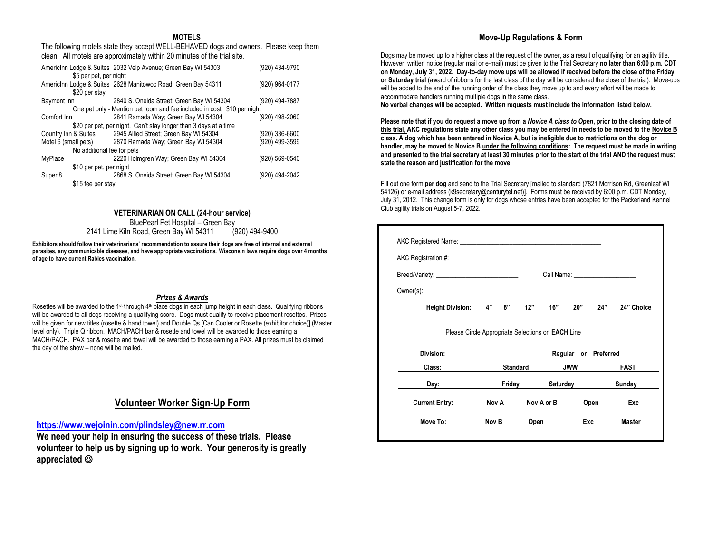#### **MOTELS**

The following motels state they accept WELL-BEHAVED dogs and owners. Please keep them clean. All motels are approximately within 20 minutes of the trial site.

|                            | AmericInn Lodge & Suites 2032 Velp Avenue; Green Bay WI 54303           | (920) 434-9790 |
|----------------------------|-------------------------------------------------------------------------|----------------|
| \$5 per pet, per night     |                                                                         |                |
|                            | AmericInn Lodge & Suites 2628 Manitowoc Road; Green Bay 54311           | (920) 964-0177 |
| \$20 per stay              |                                                                         |                |
| Baymont Inn                | 2840 S. Oneida Street; Green Bay WI 54304                               | (920) 494-7887 |
|                            | One pet only - Mention pet room and fee included in cost \$10 per night |                |
| Comfort Inn                | 2841 Ramada Way; Green Bay WI 54304                                     | (920) 498-2060 |
|                            | \$20 per pet, per night. Can't stay longer than 3 days at a time        |                |
| Country Inn & Suites       | 2945 Allied Street; Green Bay WI 54304                                  | (920) 336-6600 |
| Motel 6 (small pets)       | 2870 Ramada Way; Green Bay WI 54304                                     | (920) 499-3599 |
| No additional fee for pets |                                                                         |                |
| MyPlace                    | 2220 Holmgren Way; Green Bay WI 54304                                   | (920) 569-0540 |
| \$10 per pet, per night    |                                                                         |                |
| Super 8                    | 2868 S. Oneida Street; Green Bay WI 54304                               | (920) 494-2042 |
| \$15 fee per stay          |                                                                         |                |

#### **VETERINARIAN ON CALL (24-hour service)**

BluePearl Pet Hospital – Green Bay 2141 Lime Kiln Road, Green Bay WI 54311 (920) 494-9400

**Exhibitors should follow their veterinarians' recommendation to assure their dogs are free of internal and external parasites, any communicable diseases, and have appropriate vaccinations. Wisconsin laws require dogs over 4 months of age to have current Rabies vaccination.** 

#### *Prizes & Awards*

Rosettes will be awarded to the 1<sup>st</sup> through 4<sup>th</sup> place dogs in each jump height in each class. Qualifying ribbons will be awarded to all dogs receiving a qualifying score. Dogs must qualify to receive placement rosettes. Prizes will be given for new titles (rosette & hand towel) and Double Qs [Can Cooler or Rosette (exhibitor choice)] (Master level only). Triple Q ribbon. MACH/PACH bar & rosette and towel will be awarded to those earning a MACH/PACH. PAX bar & rosette and towel will be awarded to those earning a PAX. All prizes must be claimed the day of the show – none will be mailed.

# **Volunteer Worker Sign-Up Form**

#### **<https://www.wejoinin.com/plindsley@new.rr.com>**

**We need your help in ensuring the success of these trials. Please volunteer to help us by signing up to work. Your generosity is greatly appreciated** ☺

#### **Move-Up Regulations & Form**

Dogs may be moved up to a higher class at the request of the owner, as a result of qualifying for an agility title. However, written notice (regular mail or e-mail) must be given to the Trial Secretary **no later than 6:00 p.m. CDT on Monday, July 31, 2022. Day-to-day move ups will be allowed if received before the close of the Friday or Saturday trial** (award of ribbons for the last class of the day will be considered the close of the trial). Move-ups will be added to the end of the running order of the class they move up to and every effort will be made to accommodate handlers running multiple dogs in the same class.

**No verbal changes will be accepted. Written requests must include the information listed below.**

**Please note that if you do request a move up from a** *Novice A class to Open***, prior to the closing date of this trial, AKC regulations state any other class you may be entered in needs to be moved to the Novice B class. A dog which has been entered in Novice A, but is ineligible due to restrictions on the dog or handler, may be moved to Novice B under the following conditions: The request must be made in writing and presented to the trial secretary at least 30 minutes prior to the start of the trial AND the request must state the reason and justification for the move.**

Fill out one form **per dog** and send to the Trial Secretary [mailed to standard (7821 Morrison Rd, Greenleaf WI 54126) or e-mail address (k9secretary@centurytel.net)]. Forms must be received by 6:00 p.m. CDT Monday, July 31, 2012. This change form is only for dogs whose entries have been accepted for the Packerland Kennel Club agility trials on August 5-7, 2022.

|                                                          |  |                       |                      | Call Name: ______________________ |
|----------------------------------------------------------|--|-----------------------|----------------------|-----------------------------------|
| Owner(s):                                                |  |                       |                      |                                   |
| <b>Height Division:</b>                                  |  | 4" 8" 12" 16" 20" 24" |                      | 24" Choice                        |
| Please Circle Appropriate Selections on <b>EACH</b> Line |  |                       |                      |                                   |
| Division:                                                |  |                       | Docular as Droforrad |                                   |

| Division:             | Preferred<br>Regular<br>or |            |            |               |
|-----------------------|----------------------------|------------|------------|---------------|
| Class:                | <b>Standard</b>            |            | <b>JWW</b> | <b>FAST</b>   |
| Day:                  | Friday                     | Saturday   |            | Sunday        |
| <b>Current Entry:</b> | Nov A                      | Nov A or B | Open       | Exc           |
| Move To:              | Nov B                      | Open       | Exc        | <b>Master</b> |